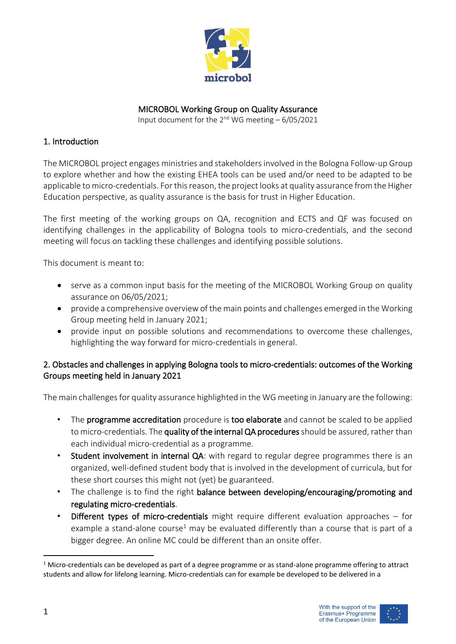

#### MICROBOL Working Group on Quality Assurance

Input document for the  $2^{nd}$  WG meeting  $-6/05/2021$ 

## 1. Introduction

The MICROBOL project engages ministries and stakeholders involved in the Bologna Follow-up Group to explore whether and how the existing EHEA tools can be used and/or need to be adapted to be applicable to micro-credentials. For this reason, the project looks at quality assurance from the Higher Education perspective, as quality assurance is the basis for trust in Higher Education.

The first meeting of the working groups on QA, recognition and ECTS and QF was focused on identifying challenges in the applicability of Bologna tools to micro-credentials, and the second meeting will focus on tackling these challenges and identifying possible solutions.

This document is meant to:

- serve as a common input basis for the meeting of the MICROBOL Working Group on quality assurance on 06/05/2021;
- provide a comprehensive overview of the main points and challenges emerged in the Working Group meeting held in January 2021;
- provide input on possible solutions and recommendations to overcome these challenges, highlighting the way forward for micro-credentials in general.

## 2. Obstacles and challenges in applying Bologna tools to micro-credentials: outcomes of the Working Groups meeting held in January 2021

The main challenges for quality assurance highlighted in the WG meeting in January are the following:

- The programme accreditation procedure is too elaborate and cannot be scaled to be applied to micro-credentials. The quality of the internal QA procedures should be assured, rather than each individual micro-credential as a programme.
- Student involvement in internal QA: with regard to regular degree programmes there is an organized, well-defined student body that is involved in the development of curricula, but for these short courses this might not (yet) be guaranteed.
- The challenge is to find the right balance between developing/encouraging/promoting and regulating micro-credentials.
- Different types of micro-credentials might require different evaluation approaches  $-$  for example a stand-alone course<sup>1</sup> may be evaluated differently than a course that is part of a bigger degree. An online MC could be different than an onsite offer.

 $1$  Micro-credentials can be developed as part of a degree programme or as stand-alone programme offering to attract students and allow for lifelong learning. Micro-credentials can for example be developed to be delivered in a

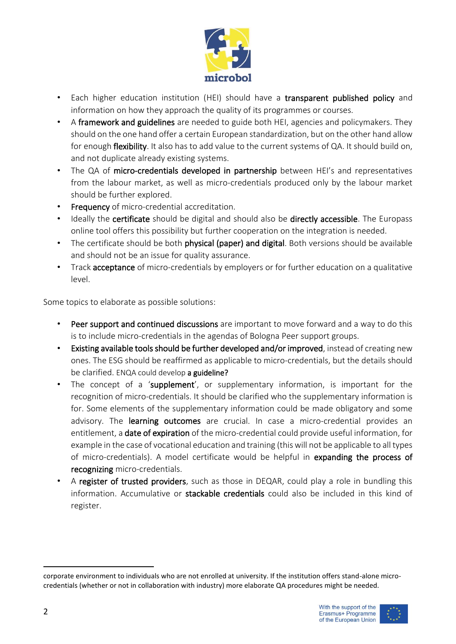

- Each higher education institution (HEI) should have a transparent published policy and information on how they approach the quality of its programmes or courses.
- A framework and guidelines are needed to guide both HEI, agencies and policymakers. They should on the one hand offer a certain European standardization, but on the other hand allow for enough flexibility. It also has to add value to the current systems of QA. It should build on, and not duplicate already existing systems.
- The QA of micro-credentials developed in partnership between HEI's and representatives from the labour market, as well as micro-credentials produced only by the labour market should be further explored.
- Frequency of micro-credential accreditation.
- Ideally the certificate should be digital and should also be directly accessible. The Europass online tool offers this possibility but further cooperation on the integration is needed.
- The certificate should be both physical (paper) and digital. Both versions should be available and should not be an issue for quality assurance.
- Track acceptance of micro-credentials by employers or for further education on a qualitative level.

Some topics to elaborate as possible solutions:

- Peer support and continued discussions are important to move forward and a way to do this is to include micro-credentials in the agendas of Bologna Peer support groups.
- Existing available tools should be further developed and/or improved, instead of creating new ones. The ESG should be reaffirmed as applicable to micro-credentials, but the details should be clarified. ENQA could develop a guideline?
- The concept of a 'supplement', or supplementary information, is important for the recognition of micro-credentials. It should be clarified who the supplementary information is for. Some elements of the supplementary information could be made obligatory and some advisory. The learning outcomes are crucial. In case a micro-credential provides an entitlement, a date of expiration of the micro-credential could provide useful information, for example in the case of vocational education and training (this will not be applicable to all types of micro-credentials). A model certificate would be helpful in expanding the process of recognizing micro-credentials.
- A register of trusted providers, such as those in DEQAR, could play a role in bundling this information. Accumulative or stackable credentials could also be included in this kind of register.

corporate environment to individuals who are not enrolled at university. If the institution offers stand-alone microcredentials (whether or not in collaboration with industry) more elaborate QA procedures might be needed.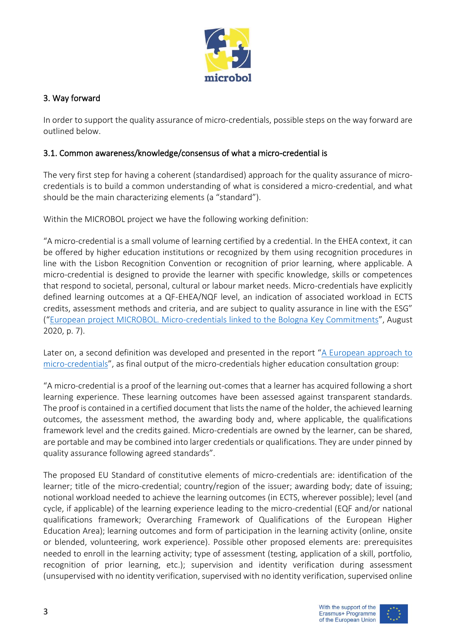

## 3. Way forward

In order to support the quality assurance of micro-credentials, possible steps on the way forward are outlined below.

## 3.1. Common awareness/knowledge/consensus of what a micro-credential is

The very first step for having a coherent (standardised) approach for the quality assurance of microcredentials is to build a common understanding of what is considered a micro-credential, and what should be the main characterizing elements (a "standard").

Within the MICROBOL project we have the following working definition:

"A micro-credential is a small volume of learning certified by a credential. In the EHEA context, it can be offered by higher education institutions or recognized by them using recognition procedures in line with the Lisbon Recognition Convention or recognition of prior learning, where applicable. A micro-credential is designed to provide the learner with specific knowledge, skills or competences that respond to societal, personal, cultural or labour market needs. Micro-credentials have explicitly defined learning outcomes at a QF-EHEA/NQF level, an indication of associated workload in ECTS credits, assessment methods and criteria, and are subject to quality assurance in line with the ESG" ("[European project MICROBOL. Micro-credentials linked to the Bologna Key Commitments](https://microcredentials.eu/wp-content/uploads/sites/20/2021/04/MICROBOL-Desk-Research-Report.pdf)", August 2020, p. 7).

Later on, a second definition was developed and presented in the report "[A European approach to](https://ec.europa.eu/education/education-in-the-eu/european-education-area/a-european-approach-to-micro-credentials_en)  [micro-credentials](https://ec.europa.eu/education/education-in-the-eu/european-education-area/a-european-approach-to-micro-credentials_en)", as final output of the micro-credentials higher education consultation group:

"A micro-credential is a proof of the learning out-comes that a learner has acquired following a short learning experience. These learning outcomes have been assessed against transparent standards. The proof is contained in a certified document that lists the name of the holder, the achieved learning outcomes, the assessment method, the awarding body and, where applicable, the qualifications framework level and the credits gained. Micro-credentials are owned by the learner, can be shared, are portable and may be combined into larger credentials or qualifications. They are under pinned by quality assurance following agreed standards".

The proposed EU Standard of constitutive elements of micro-credentials are: identification of the learner; title of the micro-credential; country/region of the issuer; awarding body; date of issuing; notional workload needed to achieve the learning outcomes (in ECTS, wherever possible); level (and cycle, if applicable) of the learning experience leading to the micro-credential (EQF and/or national qualifications framework; Overarching Framework of Qualifications of the European Higher Education Area); learning outcomes and form of participation in the learning activity (online, onsite or blended, volunteering, work experience). Possible other proposed elements are: prerequisites needed to enroll in the learning activity; type of assessment (testing, application of a skill, portfolio, recognition of prior learning, etc.); supervision and identity verification during assessment (unsupervised with no identity verification, supervised with no identity verification, supervised online

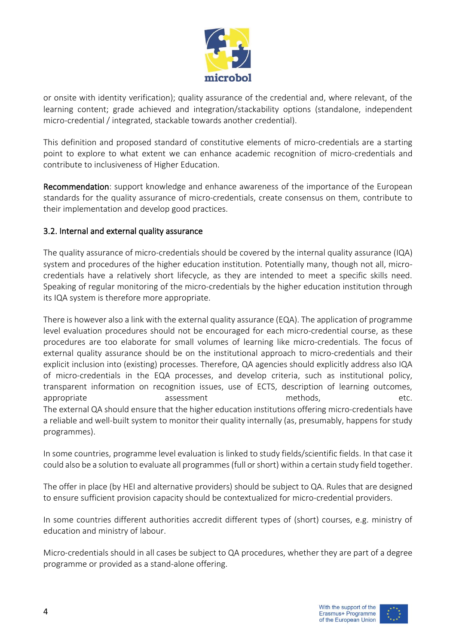

or onsite with identity verification); quality assurance of the credential and, where relevant, of the learning content; grade achieved and integration/stackability options (standalone, independent micro-credential / integrated, stackable towards another credential).

This definition and proposed standard of constitutive elements of micro-credentials are a starting point to explore to what extent we can enhance academic recognition of micro-credentials and contribute to inclusiveness of Higher Education.

Recommendation: support knowledge and enhance awareness of the importance of the European standards for the quality assurance of micro-credentials, create consensus on them, contribute to their implementation and develop good practices.

## 3.2. Internal and external quality assurance

The quality assurance of micro-credentials should be covered by the internal quality assurance (IQA) system and procedures of the higher education institution. Potentially many, though not all, microcredentials have a relatively short lifecycle, as they are intended to meet a specific skills need. Speaking of regular monitoring of the micro-credentials by the higher education institution through its IQA system is therefore more appropriate.

There is however also a link with the external quality assurance (EQA). The application of programme level evaluation procedures should not be encouraged for each micro-credential course, as these procedures are too elaborate for small volumes of learning like micro-credentials. The focus of external quality assurance should be on the institutional approach to micro-credentials and their explicit inclusion into (existing) processes. Therefore, QA agencies should explicitly address also IQA of micro-credentials in the EQA processes, and develop criteria, such as institutional policy, transparent information on recognition issues, use of ECTS, description of learning outcomes, appropriate and assessment methods, and the etc. The external QA should ensure that the higher education institutions offering micro-credentials have a reliable and well-built system to monitor their quality internally (as, presumably, happens for study programmes).

In some countries, programme level evaluation is linked to study fields/scientific fields. In that case it could also be a solution to evaluate all programmes (full or short) within a certain study field together.

The offer in place (by HEI and alternative providers) should be subject to QA. Rules that are designed to ensure sufficient provision capacity should be contextualized for micro-credential providers.

In some countries different authorities accredit different types of (short) courses, e.g. ministry of education and ministry of labour.

Micro-credentials should in all cases be subject to QA procedures, whether they are part of a degree programme or provided as a stand-alone offering.

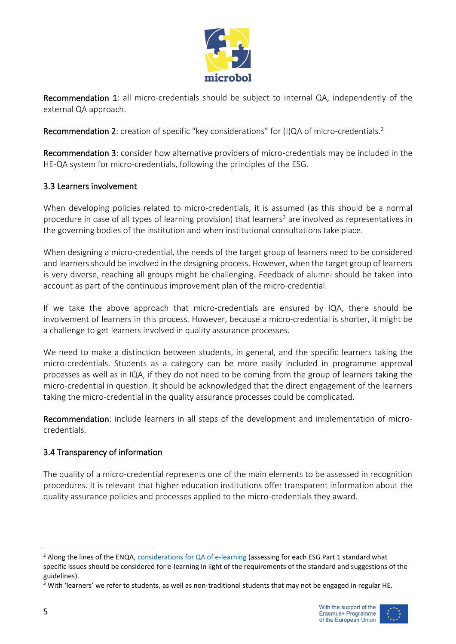

Recommendation 1: all micro-credentials should be subject to internal QA, independently of the external QA approach.

Recommendation 2: creation of specific "key considerations" for (I)QA of micro-credentials.<sup>2</sup>

Recommendation 3: consider how alternative providers of micro-credentials may be included in the HE-QA system for micro-credentials, following the principles of the ESG.

## 3.3 Learners involvement

When developing policies related to micro-credentials, it is assumed (as this should be a normal procedure in case of all types of learning provision) that learners<sup>3</sup> are involved as representatives in the governing bodies of the institution and when institutional consultations take place.

When designing a micro-credential, the needs of the target group of learners need to be considered and learners should be involved in the designing process. However, when the target group of learners is very diverse, reaching all groups might be challenging. Feedback of alumni should be taken into account as part of the continuous improvement plan of the micro-credential.

If we take the above approach that micro-credentials are ensured by IQA, there should be involvement of learners in this process. However, because a micro-credential is shorter, it might be a challenge to get learners involved in quality assurance processes.

We need to make a distinction between students, in general, and the specific learners taking the micro-credentials. Students as a category can be more easily included in programme approval processes as well as in IQA, if they do not need to be coming from the group of learners taking the micro-credential in question. It should be acknowledged that the direct engagement of the learners taking the micro-credential in the quality assurance processes could be complicated.

Recommendation: include learners in all steps of the development and implementation of microcredentials.

## 3.4 Transparency of information

The quality of a micro-credential represents one of the main elements to be assessed in recognition procedures. It is relevant that higher education institutions offer transparent information about the quality assurance policies and processes applied to the micro-credentials they award.



<sup>&</sup>lt;sup>2</sup> Along the lines of the ENQA, [considerations for QA of e-learning](https://www.enqa.eu/wp-content/uploads/ENQA_wr_14.pdf) (assessing for each ESG Part 1 standard what specific issues should be considered for e-learning in light of the requirements of the standard and suggestions of the guidelines).

<sup>&</sup>lt;sup>3</sup> With 'learners' we refer to students, as well as non-traditional students that may not be engaged in regular HE.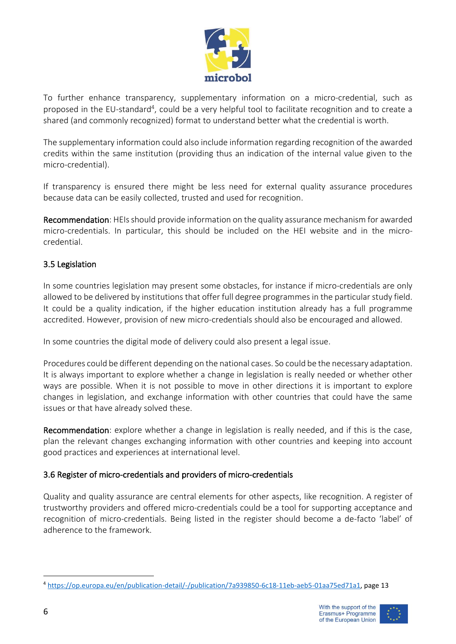

To further enhance transparency, supplementary information on a micro-credential, such as proposed in the EU-standard<sup>4</sup>, could be a very helpful tool to facilitate recognition and to create a shared (and commonly recognized) format to understand better what the credential is worth.

The supplementary information could also include information regarding recognition of the awarded credits within the same institution (providing thus an indication of the internal value given to the micro-credential).

If transparency is ensured there might be less need for external quality assurance procedures because data can be easily collected, trusted and used for recognition.

Recommendation: HEIs should provide information on the quality assurance mechanism for awarded micro-credentials. In particular, this should be included on the HEI website and in the microcredential.

# 3.5 Legislation

In some countries legislation may present some obstacles, for instance if micro-credentials are only allowed to be delivered by institutions that offer full degree programmes in the particular study field. It could be a quality indication, if the higher education institution already has a full programme accredited. However, provision of new micro-credentials should also be encouraged and allowed.

In some countries the digital mode of delivery could also present a legal issue.

Procedures could be different depending on the national cases. So could be the necessary adaptation. It is always important to explore whether a change in legislation is really needed or whether other ways are possible. When it is not possible to move in other directions it is important to explore changes in legislation, and exchange information with other countries that could have the same issues or that have already solved these.

Recommendation: explore whether a change in legislation is really needed, and if this is the case, plan the relevant changes exchanging information with other countries and keeping into account good practices and experiences at international level.

## 3.6 Register of micro-credentials and providers of micro-credentials

Quality and quality assurance are central elements for other aspects, like recognition. A register of trustworthy providers and offered micro-credentials could be a tool for supporting acceptance and recognition of micro-credentials. Being listed in the register should become a de-facto 'label' of adherence to the framework.



<sup>4</sup> [https://op.europa.eu/en/publication-detail/-/publication/7a939850-6c18-11eb-aeb5-01aa75ed71a1,](https://op.europa.eu/en/publication-detail/-/publication/7a939850-6c18-11eb-aeb5-01aa75ed71a1) page 13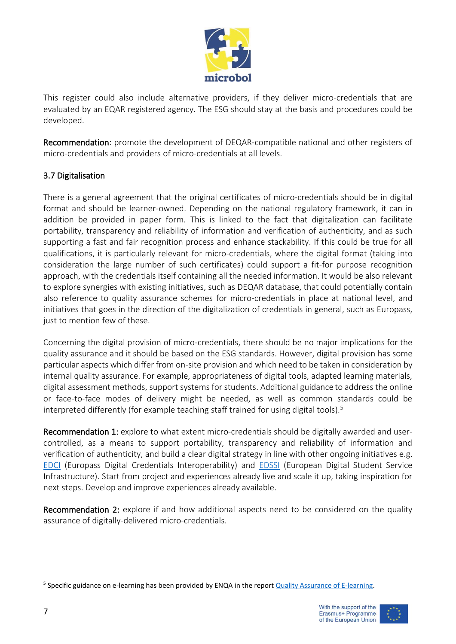

This register could also include alternative providers, if they deliver micro-credentials that are evaluated by an EQAR registered agency. The ESG should stay at the basis and procedures could be developed.

Recommendation: promote the development of DEQAR-compatible national and other registers of micro-credentials and providers of micro-credentials at all levels.

## 3.7 Digitalisation

There is a general agreement that the original certificates of micro-credentials should be in digital format and should be learner-owned. Depending on the national regulatory framework, it can in addition be provided in paper form. This is linked to the fact that digitalization can facilitate portability, transparency and reliability of information and verification of authenticity, and as such supporting a fast and fair recognition process and enhance stackability. If this could be true for all qualifications, it is particularly relevant for micro-credentials, where the digital format (taking into consideration the large number of such certificates) could support a fit-for purpose recognition approach, with the credentials itself containing all the needed information. It would be also relevant to explore synergies with existing initiatives, such as DEQAR database, that could potentially contain also reference to quality assurance schemes for micro-credentials in place at national level, and initiatives that goes in the direction of the digitalization of credentials in general, such as Europass, just to mention few of these.

Concerning the digital provision of micro-credentials, there should be no major implications for the quality assurance and it should be based on the ESG standards. However, digital provision has some particular aspects which differ from on-site provision and which need to be taken in consideration by internal quality assurance. For example, appropriateness of digital tools, adapted learning materials, digital assessment methods, support systems for students. Additional guidance to address the online or face-to-face modes of delivery might be needed, as well as common standards could be interpreted differently (for example teaching staff trained for using digital tools).<sup>5</sup>

Recommendation 1: explore to what extent micro-credentials should be digitally awarded and usercontrolled, as a means to support portability, transparency and reliability of information and verification of authenticity, and build a clear digital strategy in line with other ongoing initiatives e.g. [EDCI](https://europa.eu/europass/en/europass-digital-credentials-interoperability) (Europass Digital Credentials Interoperability) and [EDSSI](https://edssi.eu/) (European Digital Student Service Infrastructure). Start from project and experiences already live and scale it up, taking inspiration for next steps. Develop and improve experiences already available.

Recommendation 2: explore if and how additional aspects need to be considered on the quality assurance of digitally-delivered micro-credentials.

<sup>&</sup>lt;sup>5</sup> Specific guidance on e-learning has been provided by ENQA in the report **Quality Assurance of E-learning**.





7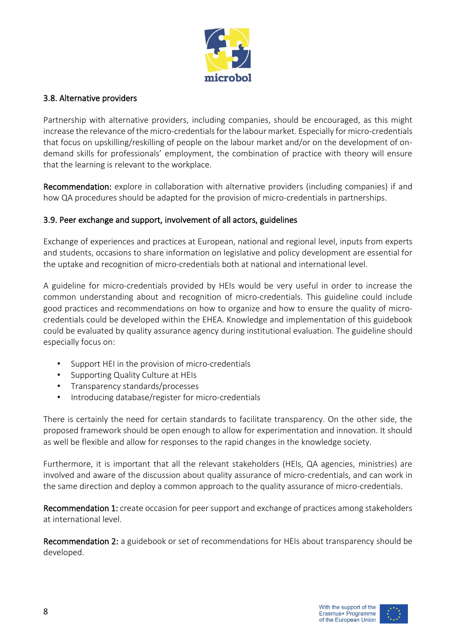

#### 3.8. Alternative providers

Partnership with alternative providers, including companies, should be encouraged, as this might increase the relevance of the micro-credentials for the labour market. Especially for micro-credentials that focus on upskilling/reskilling of people on the labour market and/or on the development of ondemand skills for professionals' employment, the combination of practice with theory will ensure that the learning is relevant to the workplace.

Recommendation: explore in collaboration with alternative providers (including companies) if and how QA procedures should be adapted for the provision of micro-credentials in partnerships.

## 3.9. Peer exchange and support, involvement of all actors, guidelines

Exchange of experiences and practices at European, national and regional level, inputs from experts and students, occasions to share information on legislative and policy development are essential for the uptake and recognition of micro-credentials both at national and international level.

A guideline for micro-credentials provided by HEIs would be very useful in order to increase the common understanding about and recognition of micro-credentials. This guideline could include good practices and recommendations on how to organize and how to ensure the quality of microcredentials could be developed within the EHEA. Knowledge and implementation of this guidebook could be evaluated by quality assurance agency during institutional evaluation. The guideline should especially focus on:

- Support HEI in the provision of micro-credentials
- Supporting Quality Culture at HEIs
- Transparency standards/processes
- Introducing database/register for micro-credentials

There is certainly the need for certain standards to facilitate transparency. On the other side, the proposed framework should be open enough to allow for experimentation and innovation. It should as well be flexible and allow for responses to the rapid changes in the knowledge society.

Furthermore, it is important that all the relevant stakeholders (HEIs, QA agencies, ministries) are involved and aware of the discussion about quality assurance of micro-credentials, and can work in the same direction and deploy a common approach to the quality assurance of micro-credentials.

Recommendation 1: create occasion for peer support and exchange of practices among stakeholders at international level.

Recommendation 2: a guidebook or set of recommendations for HEIs about transparency should be developed.